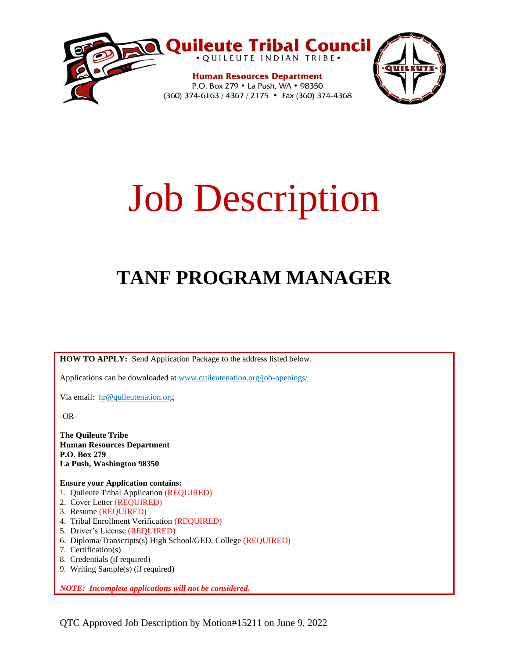

# Job Description

# **TANF PROGRAM MANAGER**

**HOW TO APPLY:** Send Application Package to the address listed below.

Applications can be downloaded at www.quileutenation.org/job-openings/

Via email: [hr@quileutenation.org](mailto:hr@quileutenation.org)

-OR-

**The Quileute Tribe Human Resources Department P.O. Box 279 La Push, Washington 98350**

**Ensure your Application contains:**

- 1. Quileute Tribal Application (REQUIRED)
- 2. Cover Letter (REQUIRED)
- 3. Resume (REQUIRED)
- 4. Tribal Enrollment Verification (REQUIRED)
- 5. Driver's License (REQUIRED)
- 6. Diploma/Transcripts(s) High School/GED, College (REQUIRED)
- 7. Certification(s)
- 8. Credentials (if required)
- 9. Writing Sample(s) (if required)

*NOTE: Incomplete applications will not be considered.*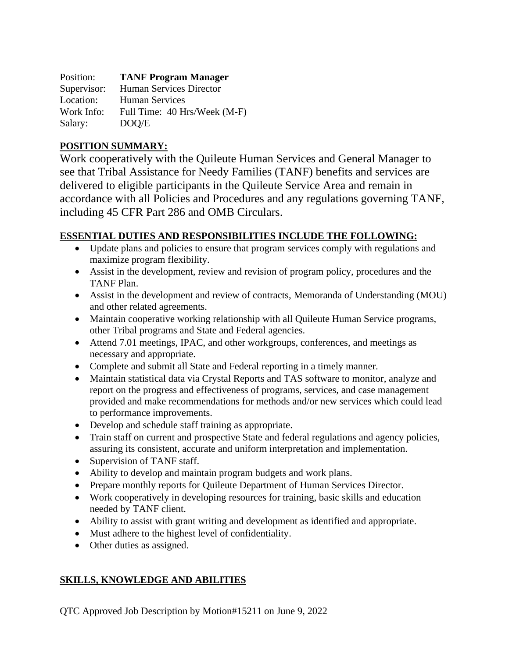| Position:   | <b>TANF Program Manager</b>  |
|-------------|------------------------------|
| Supervisor: | Human Services Director      |
| Location:   | <b>Human Services</b>        |
| Work Info:  | Full Time: 40 Hrs/Week (M-F) |
| Salary:     | DOO/E                        |

# **POSITION SUMMARY:**

Work cooperatively with the Quileute Human Services and General Manager to see that Tribal Assistance for Needy Families (TANF) benefits and services are delivered to eligible participants in the Quileute Service Area and remain in accordance with all Policies and Procedures and any regulations governing TANF, including 45 CFR Part 286 and OMB Circulars.

# **ESSENTIAL DUTIES AND RESPONSIBILITIES INCLUDE THE FOLLOWING:**

- Update plans and policies to ensure that program services comply with regulations and maximize program flexibility.
- Assist in the development, review and revision of program policy, procedures and the TANF Plan.
- Assist in the development and review of contracts, Memoranda of Understanding (MOU) and other related agreements.
- Maintain cooperative working relationship with all Quileute Human Service programs, other Tribal programs and State and Federal agencies.
- Attend 7.01 meetings, IPAC, and other workgroups, conferences, and meetings as necessary and appropriate.
- Complete and submit all State and Federal reporting in a timely manner.
- Maintain statistical data via Crystal Reports and TAS software to monitor, analyze and report on the progress and effectiveness of programs, services, and case management provided and make recommendations for methods and/or new services which could lead to performance improvements.
- Develop and schedule staff training as appropriate.
- Train staff on current and prospective State and federal regulations and agency policies, assuring its consistent, accurate and uniform interpretation and implementation.
- Supervision of TANF staff.
- Ability to develop and maintain program budgets and work plans.
- Prepare monthly reports for Quileute Department of Human Services Director.
- Work cooperatively in developing resources for training, basic skills and education needed by TANF client.
- Ability to assist with grant writing and development as identified and appropriate.
- Must adhere to the highest level of confidentiality.
- Other duties as assigned.

# **SKILLS, KNOWLEDGE AND ABILITIES**

QTC Approved Job Description by Motion#15211 on June 9, 2022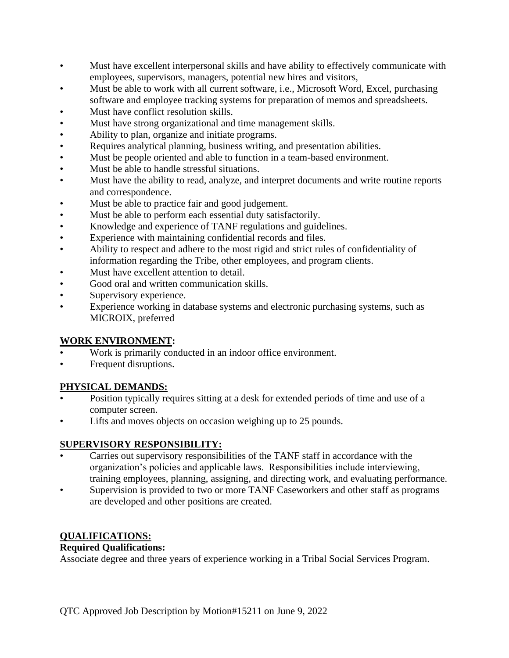- Must have excellent interpersonal skills and have ability to effectively communicate with employees, supervisors, managers, potential new hires and visitors,
- Must be able to work with all current software, i.e., Microsoft Word, Excel, purchasing software and employee tracking systems for preparation of memos and spreadsheets.
- Must have conflict resolution skills.
- Must have strong organizational and time management skills.
- Ability to plan, organize and initiate programs.
- Requires analytical planning, business writing, and presentation abilities.
- Must be people oriented and able to function in a team-based environment.
- Must be able to handle stressful situations.
- Must have the ability to read, analyze, and interpret documents and write routine reports and correspondence.
- Must be able to practice fair and good judgement.
- Must be able to perform each essential duty satisfactorily.
- Knowledge and experience of TANF regulations and guidelines.
- Experience with maintaining confidential records and files.
- Ability to respect and adhere to the most rigid and strict rules of confidentiality of information regarding the Tribe, other employees, and program clients.
- Must have excellent attention to detail.
- Good oral and written communication skills.
- Supervisory experience.
- Experience working in database systems and electronic purchasing systems, such as MICROIX, preferred

#### **WORK ENVIRONMENT:**

- Work is primarily conducted in an indoor office environment.
- Frequent disruptions.

## **PHYSICAL DEMANDS:**

- Position typically requires sitting at a desk for extended periods of time and use of a computer screen.
- Lifts and moves objects on occasion weighing up to 25 pounds.

#### **SUPERVISORY RESPONSIBILITY:**

- Carries out supervisory responsibilities of the TANF staff in accordance with the organization's policies and applicable laws. Responsibilities include interviewing, training employees, planning, assigning, and directing work, and evaluating performance.
- Supervision is provided to two or more TANF Caseworkers and other staff as programs are developed and other positions are created.

## **QUALIFICATIONS:**

#### **Required Qualifications:**

Associate degree and three years of experience working in a Tribal Social Services Program.